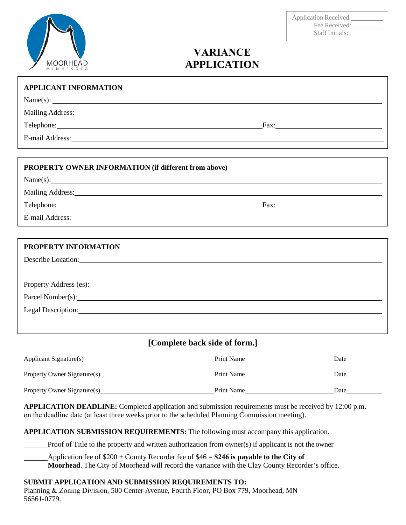# MOORHEAD

| <b>Application Received:</b> |  |
|------------------------------|--|
| Fee Received:                |  |
| Staff Initials:              |  |

# **VARIANCE APPLICATION**

| <b>APPLICANT INFORMATION</b><br>Name(s):                                                                                                                                                                                             |  |
|--------------------------------------------------------------------------------------------------------------------------------------------------------------------------------------------------------------------------------------|--|
| Mailing Address: National Address: National Address: National Address: National Address: National Address: National Address: National Address: National Address: National Address: National Address: National Address: Nationa       |  |
| Telephone: <u>and the contract of the contract of the contract of the contract of the contract of the contract of the contract of the contract of the contract of the contract of the contract of the contract of the contract o</u> |  |
|                                                                                                                                                                                                                                      |  |
| E-mail Address: Note and Address and Address and Address and Address and Address and Address and Address and A                                                                                                                       |  |
|                                                                                                                                                                                                                                      |  |
| PROPERTY OWNER INFORMATION (if different from above)                                                                                                                                                                                 |  |
| Name(s):                                                                                                                                                                                                                             |  |
| Mailing Address: Mailing Address: Mailing Address: Mailing Address: Mailing Address: Mailing Address: Mailing Address: Mailing Address: Mailing Address: Mailing Address: Mailing Address: Mailing Address: Mailing Address: M       |  |
|                                                                                                                                                                                                                                      |  |
| E-mail Address: Note and Address and Address and Address and Address and Address and Address and Address and Address and Address and Address and Address and Address and Address and Address and Address and Address and Addre       |  |
|                                                                                                                                                                                                                                      |  |
| PROPERTY INFORMATION                                                                                                                                                                                                                 |  |
| Describe Location: New York Contains the Contains of the Contains of the Contains of the Contains of the Contains of the Contains of the Contains of the Contains of the Contains of the Contains of the Contains of the Conta       |  |
|                                                                                                                                                                                                                                      |  |
| Property Address (es): Note that the contract of the contract of the contract of the contract of the contract of the contract of the contract of the contract of the contract of the contract of the contract of the contract        |  |
| Parcel Number(s):                                                                                                                                                                                                                    |  |
| Legal Description: Note that the contract of the contract of the contract of the contract of the contract of the contract of the contract of the contract of the contract of the contract of the contract of the contract of t       |  |
|                                                                                                                                                                                                                                      |  |
|                                                                                                                                                                                                                                      |  |

## **[Complete back side of form.]**

| Applicant Signature(s)      | Print Name | Date |
|-----------------------------|------------|------|
| Property Owner Signature(s) | Print Name | Date |
| Property Owner Signature(s) | Print Name | Date |

**APPLICATION DEADLINE:** Completed application and submission requirements must be received by 12:00 p.m. on the deadline date (at least three weeks prior to the scheduled Planning Commission meeting).

**APPLICATION SUBMISSION REQUIREMENTS:** The following must accompany this application.

Proof of Title to the property and written authorization from owner(s) if applicant is not the owner

Application fee of \$200 + County Recorder fee of \$46 = **\$246 is payable to the City of** 

**Moorhead**. The City of Moorhead will record the variance with the Clay County Recorder's office.

#### **SUBMIT APPLICATION AND SUBMISSION REQUIREMENTS TO:**

Planning & Zoning Division, 500 Center Avenue, Fourth Floor, PO Box 779, Moorhead, MN 56561-0779.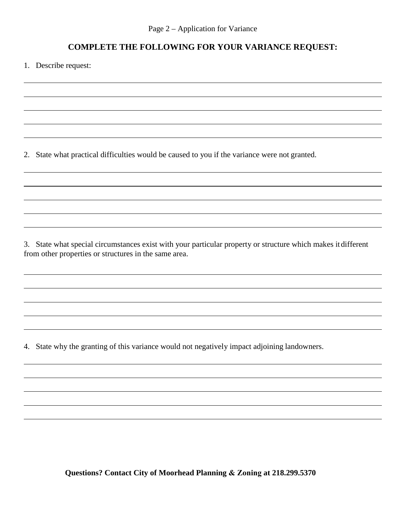### **COMPLETE THE FOLLOWING FOR YOUR VARIANCE REQUEST:**

1. Describe request:

2. State what practical difficulties would be caused to you if the variance were not granted.

3. State what special circumstances exist with your particular property or structure which makes itdifferent from other properties or structures in the same area.

4. State why the granting of this variance would not negatively impact adjoining landowners.

**Questions? Contact City of Moorhead Planning & Zoning at 218.299.5370**